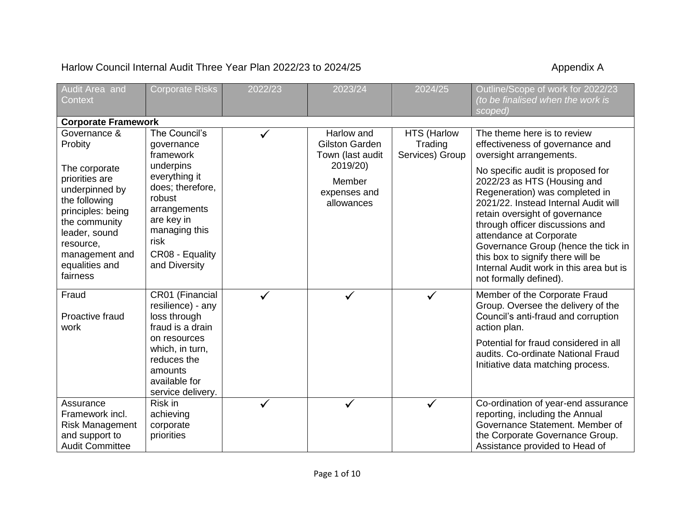## Harlow Council Internal Audit Three Year Plan 2022/23 to 2024/25 Appendix A

| Audit Area and                                                                                                                                                                                                    | <b>Corporate Risks</b>                                                                                                                                                                          | 2022/23 | 2023/24                                                                                                     | 2024/25                                          | Outline/Scope of work for 2022/23                                                                                                                                                                                                                                                                                                                                                                                                                                                        |
|-------------------------------------------------------------------------------------------------------------------------------------------------------------------------------------------------------------------|-------------------------------------------------------------------------------------------------------------------------------------------------------------------------------------------------|---------|-------------------------------------------------------------------------------------------------------------|--------------------------------------------------|------------------------------------------------------------------------------------------------------------------------------------------------------------------------------------------------------------------------------------------------------------------------------------------------------------------------------------------------------------------------------------------------------------------------------------------------------------------------------------------|
| Context                                                                                                                                                                                                           |                                                                                                                                                                                                 |         |                                                                                                             |                                                  | (to be finalised when the work is<br>scoped)                                                                                                                                                                                                                                                                                                                                                                                                                                             |
| <b>Corporate Framework</b>                                                                                                                                                                                        |                                                                                                                                                                                                 |         |                                                                                                             |                                                  |                                                                                                                                                                                                                                                                                                                                                                                                                                                                                          |
| Governance &<br>Probity<br>The corporate<br>priorities are<br>underpinned by<br>the following<br>principles: being<br>the community<br>leader, sound<br>resource,<br>management and<br>equalities and<br>fairness | The Council's<br>governance<br>framework<br>underpins<br>everything it<br>does; therefore,<br>robust<br>arrangements<br>are key in<br>managing this<br>risk<br>CR08 - Equality<br>and Diversity |         | Harlow and<br><b>Gilston Garden</b><br>Town (last audit<br>2019/20)<br>Member<br>expenses and<br>allowances | <b>HTS (Harlow</b><br>Trading<br>Services) Group | The theme here is to review<br>effectiveness of governance and<br>oversight arrangements.<br>No specific audit is proposed for<br>2022/23 as HTS (Housing and<br>Regeneration) was completed in<br>2021/22. Instead Internal Audit will<br>retain oversight of governance<br>through officer discussions and<br>attendance at Corporate<br>Governance Group (hence the tick in<br>this box to signify there will be<br>Internal Audit work in this area but is<br>not formally defined). |
| Fraud<br>Proactive fraud<br>work                                                                                                                                                                                  | CR01 (Financial<br>resilience) - any<br>loss through<br>fraud is a drain<br>on resources<br>which, in turn,<br>reduces the<br>amounts<br>available for<br>service delivery.                     |         |                                                                                                             |                                                  | Member of the Corporate Fraud<br>Group. Oversee the delivery of the<br>Council's anti-fraud and corruption<br>action plan.<br>Potential for fraud considered in all<br>audits. Co-ordinate National Fraud<br>Initiative data matching process.                                                                                                                                                                                                                                           |
| Assurance<br>Framework incl.<br><b>Risk Management</b><br>and support to<br><b>Audit Committee</b>                                                                                                                | Risk in<br>achieving<br>corporate<br>priorities                                                                                                                                                 |         |                                                                                                             |                                                  | Co-ordination of year-end assurance<br>reporting, including the Annual<br>Governance Statement. Member of<br>the Corporate Governance Group.<br>Assistance provided to Head of                                                                                                                                                                                                                                                                                                           |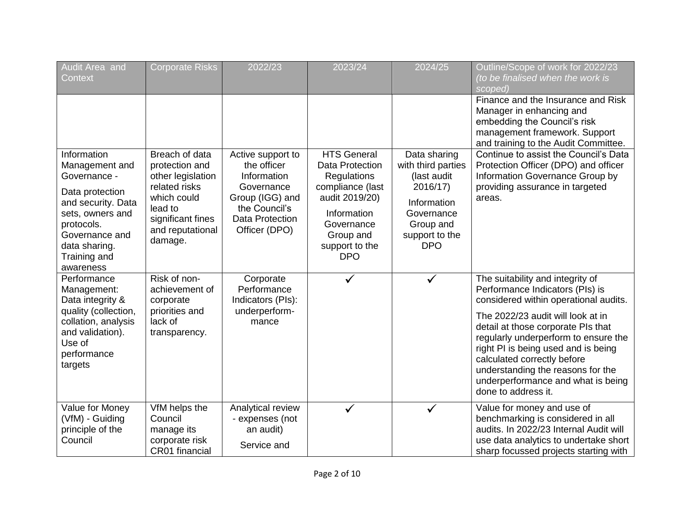| Audit Area and<br><b>Context</b>                                                                                                                                                         | <b>Corporate Risks</b>                                                                                                                               | 2022/23                                                                                                                               | 2023/24                                                                                                                                                              | 2024/25                                                                                                                                 | Outline/Scope of work for 2022/23<br>(to be finalised when the work is<br>scoped)                                                                                                                                                                                                                                                                                                                       |
|------------------------------------------------------------------------------------------------------------------------------------------------------------------------------------------|------------------------------------------------------------------------------------------------------------------------------------------------------|---------------------------------------------------------------------------------------------------------------------------------------|----------------------------------------------------------------------------------------------------------------------------------------------------------------------|-----------------------------------------------------------------------------------------------------------------------------------------|---------------------------------------------------------------------------------------------------------------------------------------------------------------------------------------------------------------------------------------------------------------------------------------------------------------------------------------------------------------------------------------------------------|
|                                                                                                                                                                                          |                                                                                                                                                      |                                                                                                                                       |                                                                                                                                                                      |                                                                                                                                         | Finance and the Insurance and Risk<br>Manager in enhancing and<br>embedding the Council's risk<br>management framework. Support<br>and training to the Audit Committee.                                                                                                                                                                                                                                 |
| Information<br>Management and<br>Governance -<br>Data protection<br>and security. Data<br>sets, owners and<br>protocols.<br>Governance and<br>data sharing.<br>Training and<br>awareness | Breach of data<br>protection and<br>other legislation<br>related risks<br>which could<br>lead to<br>significant fines<br>and reputational<br>damage. | Active support to<br>the officer<br>Information<br>Governance<br>Group (IGG) and<br>the Council's<br>Data Protection<br>Officer (DPO) | <b>HTS General</b><br>Data Protection<br>Regulations<br>compliance (last<br>audit 2019/20)<br>Information<br>Governance<br>Group and<br>support to the<br><b>DPO</b> | Data sharing<br>with third parties<br>(last audit<br>2016/17)<br>Information<br>Governance<br>Group and<br>support to the<br><b>DPO</b> | Continue to assist the Council's Data<br>Protection Officer (DPO) and officer<br>Information Governance Group by<br>providing assurance in targeted<br>areas.                                                                                                                                                                                                                                           |
| Performance<br>Management:<br>Data integrity &<br>quality (collection,<br>collation, analysis<br>and validation).<br>Use of<br>performance<br>targets                                    | Risk of non-<br>achievement of<br>corporate<br>priorities and<br>lack of<br>transparency.                                                            | Corporate<br>Performance<br>Indicators (PIs):<br>underperform-<br>mance                                                               |                                                                                                                                                                      |                                                                                                                                         | The suitability and integrity of<br>Performance Indicators (PIs) is<br>considered within operational audits.<br>The 2022/23 audit will look at in<br>detail at those corporate PIs that<br>regularly underperform to ensure the<br>right PI is being used and is being<br>calculated correctly before<br>understanding the reasons for the<br>underperformance and what is being<br>done to address it. |
| Value for Money<br>(VfM) - Guiding<br>principle of the<br>Council                                                                                                                        | VfM helps the<br>Council<br>manage its<br>corporate risk<br>CR01 financial                                                                           | Analytical review<br>- expenses (not<br>an audit)<br>Service and                                                                      |                                                                                                                                                                      | ✓                                                                                                                                       | Value for money and use of<br>benchmarking is considered in all<br>audits. In 2022/23 Internal Audit will<br>use data analytics to undertake short<br>sharp focussed projects starting with                                                                                                                                                                                                             |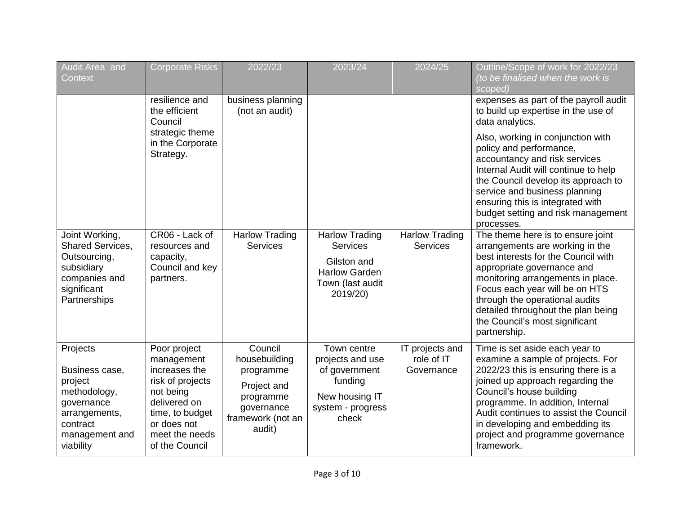| Audit Area and<br>Context                                                                                                       | <b>Corporate Risks</b>                                                                                                                                             | 2022/23                                                                                                        | 2023/24                                                                                                     | 2024/25                                     | Outline/Scope of work for 2022/23<br>(to be finalised when the work is<br>scoped)                                                                                                                                                                                                                                                            |
|---------------------------------------------------------------------------------------------------------------------------------|--------------------------------------------------------------------------------------------------------------------------------------------------------------------|----------------------------------------------------------------------------------------------------------------|-------------------------------------------------------------------------------------------------------------|---------------------------------------------|----------------------------------------------------------------------------------------------------------------------------------------------------------------------------------------------------------------------------------------------------------------------------------------------------------------------------------------------|
|                                                                                                                                 | resilience and<br>the efficient<br>Council                                                                                                                         | business planning<br>(not an audit)                                                                            |                                                                                                             |                                             | expenses as part of the payroll audit<br>to build up expertise in the use of<br>data analytics.                                                                                                                                                                                                                                              |
|                                                                                                                                 | strategic theme<br>in the Corporate<br>Strategy.                                                                                                                   |                                                                                                                |                                                                                                             |                                             | Also, working in conjunction with<br>policy and performance,<br>accountancy and risk services<br>Internal Audit will continue to help<br>the Council develop its approach to<br>service and business planning<br>ensuring this is integrated with<br>budget setting and risk management<br>processes.                                        |
| Joint Working,<br>Shared Services,<br>Outsourcing,<br>subsidiary<br>companies and<br>significant<br>Partnerships                | CR06 - Lack of<br>resources and<br>capacity,<br>Council and key<br>partners.                                                                                       | <b>Harlow Trading</b><br><b>Services</b>                                                                       | <b>Harlow Trading</b><br>Services<br>Gilston and<br><b>Harlow Garden</b><br>Town (last audit<br>2019/20)    | <b>Harlow Trading</b><br><b>Services</b>    | The theme here is to ensure joint<br>arrangements are working in the<br>best interests for the Council with<br>appropriate governance and<br>monitoring arrangements in place.<br>Focus each year will be on HTS<br>through the operational audits<br>detailed throughout the plan being<br>the Council's most significant<br>partnership.   |
| Projects<br>Business case,<br>project<br>methodology,<br>governance<br>arrangements,<br>contract<br>management and<br>viability | Poor project<br>management<br>increases the<br>risk of projects<br>not being<br>delivered on<br>time, to budget<br>or does not<br>meet the needs<br>of the Council | Council<br>housebuilding<br>programme<br>Project and<br>programme<br>governance<br>framework (not an<br>audit) | Town centre<br>projects and use<br>of government<br>funding<br>New housing IT<br>system - progress<br>check | IT projects and<br>role of IT<br>Governance | Time is set aside each year to<br>examine a sample of projects. For<br>2022/23 this is ensuring there is a<br>joined up approach regarding the<br>Council's house building<br>programme. In addition, Internal<br>Audit continues to assist the Council<br>in developing and embedding its<br>project and programme governance<br>framework. |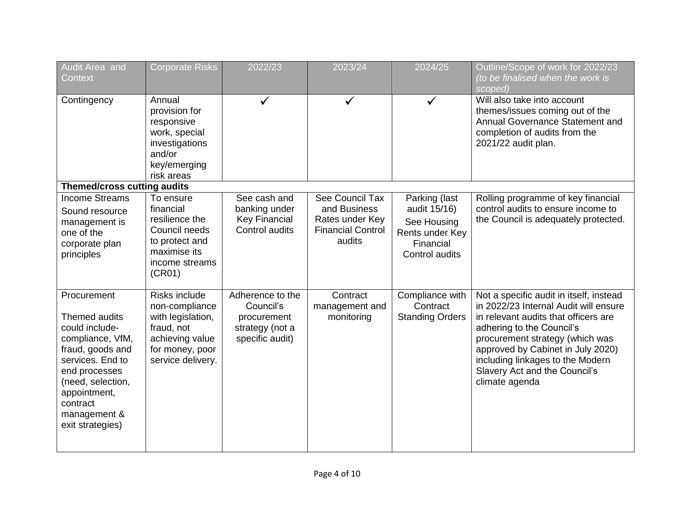| Audit Area and<br><b>Context</b>                                                                                                                                                                                 | Corporate Risks                                                                                                                      | 2022/23                                                                            | 2023/24                                                                                  | 2024/25                                                                                        | Outline/Scope of work for 2022/23<br>(to be finalised when the work is<br>scoped)                                                                                                                                                                                                                                    |
|------------------------------------------------------------------------------------------------------------------------------------------------------------------------------------------------------------------|--------------------------------------------------------------------------------------------------------------------------------------|------------------------------------------------------------------------------------|------------------------------------------------------------------------------------------|------------------------------------------------------------------------------------------------|----------------------------------------------------------------------------------------------------------------------------------------------------------------------------------------------------------------------------------------------------------------------------------------------------------------------|
| Contingency                                                                                                                                                                                                      | Annual<br>provision for<br>responsive<br>work, special<br>investigations<br>and/or<br>key/emerging<br>risk areas                     |                                                                                    |                                                                                          | $\checkmark$                                                                                   | Will also take into account<br>themes/issues coming out of the<br>Annual Governance Statement and<br>completion of audits from the<br>2021/22 audit plan.                                                                                                                                                            |
| <b>Themed/cross cutting audits</b>                                                                                                                                                                               |                                                                                                                                      |                                                                                    |                                                                                          |                                                                                                |                                                                                                                                                                                                                                                                                                                      |
| <b>Income Streams</b><br>Sound resource<br>management is<br>one of the<br>corporate plan<br>principles                                                                                                           | To ensure<br>financial<br>resilience the<br>Council needs<br>to protect and<br>maximise its<br>income streams<br>(CR01)              | See cash and<br>banking under<br><b>Key Financial</b><br>Control audits            | See Council Tax<br>and Business<br>Rates under Key<br><b>Financial Control</b><br>audits | Parking (last<br>audit 15/16)<br>See Housing<br>Rents under Key<br>Financial<br>Control audits | Rolling programme of key financial<br>control audits to ensure income to<br>the Council is adequately protected.                                                                                                                                                                                                     |
| Procurement<br>Themed audits<br>could include-<br>compliance, VfM,<br>fraud, goods and<br>services. End to<br>end processes<br>(need, selection,<br>appointment,<br>contract<br>management &<br>exit strategies) | <b>Risks include</b><br>non-compliance<br>with legislation,<br>fraud, not<br>achieving value<br>for money, poor<br>service delivery. | Adherence to the<br>Council's<br>procurement<br>strategy (not a<br>specific audit) | Contract<br>management and<br>monitoring                                                 | Compliance with<br>Contract<br><b>Standing Orders</b>                                          | Not a specific audit in itself, instead<br>in 2022/23 Internal Audit will ensure<br>in relevant audits that officers are<br>adhering to the Council's<br>procurement strategy (which was<br>approved by Cabinet in July 2020)<br>including linkages to the Modern<br>Slavery Act and the Council's<br>climate agenda |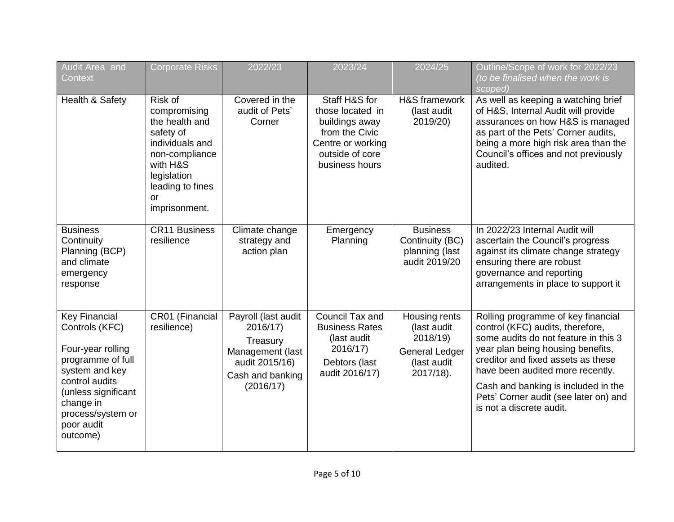| Audit Area and<br>Context                                                                                                                                                                               | <b>Corporate Risks</b>                                                                                                                                            | 2022/23                                                                                                            | 2023/24                                                                                                                         | 2024/25                                                                                       | Outline/Scope of work for 2022/23<br>(to be finalised when the work is<br>scoped)                                                                                                                                                                                                                                                         |
|---------------------------------------------------------------------------------------------------------------------------------------------------------------------------------------------------------|-------------------------------------------------------------------------------------------------------------------------------------------------------------------|--------------------------------------------------------------------------------------------------------------------|---------------------------------------------------------------------------------------------------------------------------------|-----------------------------------------------------------------------------------------------|-------------------------------------------------------------------------------------------------------------------------------------------------------------------------------------------------------------------------------------------------------------------------------------------------------------------------------------------|
| Health & Safety                                                                                                                                                                                         | Risk of<br>compromising<br>the health and<br>safety of<br>individuals and<br>non-compliance<br>with H&S<br>legislation<br>leading to fines<br>or<br>imprisonment. | Covered in the<br>audit of Pets'<br>Corner                                                                         | Staff H&S for<br>those located in<br>buildings away<br>from the Civic<br>Centre or working<br>outside of core<br>business hours | H&S framework<br>(last audit<br>2019/20)                                                      | As well as keeping a watching brief<br>of H&S, Internal Audit will provide<br>assurances on how H&S is managed<br>as part of the Pets' Corner audits,<br>being a more high risk area than the<br>Council's offices and not previously<br>audited.                                                                                         |
| <b>Business</b><br>Continuity<br>Planning (BCP)<br>and climate<br>emergency<br>response                                                                                                                 | <b>CR11 Business</b><br>resilience                                                                                                                                | Climate change<br>strategy and<br>action plan                                                                      | Emergency<br>Planning                                                                                                           | <b>Business</b><br>Continuity (BC)<br>planning (last<br>audit 2019/20                         | In 2022/23 Internal Audit will<br>ascertain the Council's progress<br>against its climate change strategy<br>ensuring there are robust<br>governance and reporting<br>arrangements in place to support it                                                                                                                                 |
| <b>Key Financial</b><br>Controls (KFC)<br>Four-year rolling<br>programme of full<br>system and key<br>control audits<br>(unless significant<br>change in<br>process/system or<br>poor audit<br>outcome) | CR01 (Financial<br>resilience)                                                                                                                                    | Payroll (last audit<br>2016/17)<br>Treasury<br>Management (last<br>audit 2015/16)<br>Cash and banking<br>(2016/17) | Council Tax and<br><b>Business Rates</b><br>(last audit<br>2016/17)<br>Debtors (last<br>audit 2016/17)                          | Housing rents<br>(last audit<br>2018/19)<br><b>General Ledger</b><br>(last audit<br>2017/18). | Rolling programme of key financial<br>control (KFC) audits, therefore,<br>some audits do not feature in this 3<br>year plan being housing benefits,<br>creditor and fixed assets as these<br>have been audited more recently.<br>Cash and banking is included in the<br>Pets' Corner audit (see later on) and<br>is not a discrete audit. |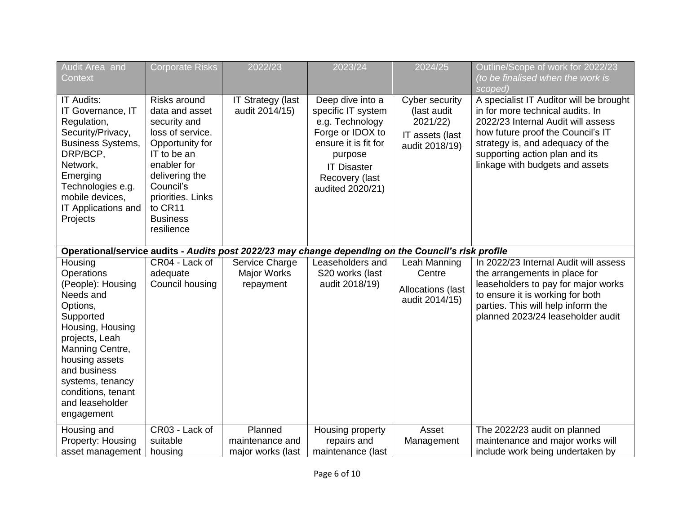| Audit Area and<br>Context                                                                                                                                                                                                                              | <b>Corporate Risks</b>                                                                                                                                                                                              | 2022/23                                         | 2023/24                                                                                                                                                                      | 2024/25                                                                        | Outline/Scope of work for 2022/23<br>(to be finalised when the work is<br>scoped)                                                                                                                                                                               |
|--------------------------------------------------------------------------------------------------------------------------------------------------------------------------------------------------------------------------------------------------------|---------------------------------------------------------------------------------------------------------------------------------------------------------------------------------------------------------------------|-------------------------------------------------|------------------------------------------------------------------------------------------------------------------------------------------------------------------------------|--------------------------------------------------------------------------------|-----------------------------------------------------------------------------------------------------------------------------------------------------------------------------------------------------------------------------------------------------------------|
| <b>IT Audits:</b><br>IT Governance, IT<br>Regulation,<br>Security/Privacy,<br><b>Business Systems,</b><br>DRP/BCP,<br>Network,<br>Emerging<br>Technologies e.g.<br>mobile devices,<br>IT Applications and<br>Projects                                  | Risks around<br>data and asset<br>security and<br>loss of service.<br>Opportunity for<br>IT to be an<br>enabler for<br>delivering the<br>Council's<br>priorities. Links<br>to CR11<br><b>Business</b><br>resilience | <b>IT Strategy (last</b><br>audit 2014/15)      | Deep dive into a<br>specific IT system<br>e.g. Technology<br>Forge or IDOX to<br>ensure it is fit for<br>purpose<br><b>IT Disaster</b><br>Recovery (last<br>audited 2020/21) | Cyber security<br>(last audit<br>2021/22)<br>IT assets (last<br>audit 2018/19) | A specialist IT Auditor will be brought<br>in for more technical audits. In<br>2022/23 Internal Audit will assess<br>how future proof the Council's IT<br>strategy is, and adequacy of the<br>supporting action plan and its<br>linkage with budgets and assets |
| Operational/service audits - Audits post 2022/23 may change depending on the Council's risk profile                                                                                                                                                    |                                                                                                                                                                                                                     |                                                 |                                                                                                                                                                              |                                                                                |                                                                                                                                                                                                                                                                 |
| Housing<br>Operations<br>(People): Housing<br>Needs and<br>Options,<br>Supported<br>Housing, Housing<br>projects, Leah<br>Manning Centre,<br>housing assets<br>and business<br>systems, tenancy<br>conditions, tenant<br>and leaseholder<br>engagement | CR04 - Lack of<br>adequate<br>Council housing                                                                                                                                                                       | Service Charge<br>Major Works<br>repayment      | Leaseholders and<br>S20 works (last<br>audit 2018/19)                                                                                                                        | Leah Manning<br>Centre<br>Allocations (last<br>audit 2014/15)                  | In 2022/23 Internal Audit will assess<br>the arrangements in place for<br>leaseholders to pay for major works<br>to ensure it is working for both<br>parties. This will help inform the<br>planned 2023/24 leaseholder audit                                    |
| Housing and<br>Property: Housing<br>asset management                                                                                                                                                                                                   | CR03 - Lack of<br>suitable<br>housing                                                                                                                                                                               | Planned<br>maintenance and<br>major works (last | Housing property<br>repairs and<br>maintenance (last                                                                                                                         | Asset<br>Management                                                            | The 2022/23 audit on planned<br>maintenance and major works will<br>include work being undertaken by                                                                                                                                                            |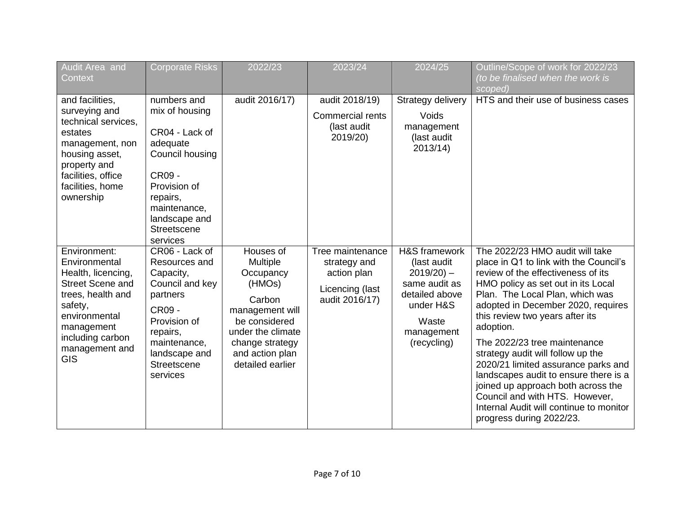| Audit Area and                                                                                                                                                                                    | <b>Corporate Risks</b>                                                                                                                                                           | 2022/23                                                                                                                                                                          | 2023/24                                                                              | 2024/25                                                                                                                              | Outline/Scope of work for 2022/23                                                                                                                                                                                                                                                                                                                                                                                                                                                                                                                                                  |
|---------------------------------------------------------------------------------------------------------------------------------------------------------------------------------------------------|----------------------------------------------------------------------------------------------------------------------------------------------------------------------------------|----------------------------------------------------------------------------------------------------------------------------------------------------------------------------------|--------------------------------------------------------------------------------------|--------------------------------------------------------------------------------------------------------------------------------------|------------------------------------------------------------------------------------------------------------------------------------------------------------------------------------------------------------------------------------------------------------------------------------------------------------------------------------------------------------------------------------------------------------------------------------------------------------------------------------------------------------------------------------------------------------------------------------|
| Context                                                                                                                                                                                           |                                                                                                                                                                                  |                                                                                                                                                                                  |                                                                                      |                                                                                                                                      | (to be finalised when the work is<br>scoped)                                                                                                                                                                                                                                                                                                                                                                                                                                                                                                                                       |
| and facilities,<br>surveying and<br>technical services,<br>estates<br>management, non<br>housing asset,<br>property and<br>facilities, office<br>facilities, home<br>ownership                    | numbers and<br>mix of housing<br>CR04 - Lack of<br>adequate<br>Council housing<br>CR09 -<br>Provision of<br>repairs,<br>maintenance,<br>landscape and<br>Streetscene<br>services | audit 2016/17)                                                                                                                                                                   | audit 2018/19)<br><b>Commercial rents</b><br>(last audit<br>2019/20)                 | Strategy delivery<br>Voids<br>management<br>(last audit<br>2013/14)                                                                  | HTS and their use of business cases                                                                                                                                                                                                                                                                                                                                                                                                                                                                                                                                                |
| Environment:<br>Environmental<br>Health, licencing,<br><b>Street Scene and</b><br>trees, health and<br>safety,<br>environmental<br>management<br>including carbon<br>management and<br><b>GIS</b> | CR06 - Lack of<br>Resources and<br>Capacity,<br>Council and key<br>partners<br>CR09 -<br>Provision of<br>repairs,<br>maintenance,<br>landscape and<br>Streetscene<br>services    | Houses of<br><b>Multiple</b><br>Occupancy<br>(HMOs)<br>Carbon<br>management will<br>be considered<br>under the climate<br>change strategy<br>and action plan<br>detailed earlier | Tree maintenance<br>strategy and<br>action plan<br>Licencing (last<br>audit 2016/17) | H&S framework<br>(last audit)<br>$2019/20$ ) –<br>same audit as<br>detailed above<br>under H&S<br>Waste<br>management<br>(recycling) | The 2022/23 HMO audit will take<br>place in Q1 to link with the Council's<br>review of the effectiveness of its<br>HMO policy as set out in its Local<br>Plan. The Local Plan, which was<br>adopted in December 2020, requires<br>this review two years after its<br>adoption.<br>The 2022/23 tree maintenance<br>strategy audit will follow up the<br>2020/21 limited assurance parks and<br>landscapes audit to ensure there is a<br>joined up approach both across the<br>Council and with HTS. However,<br>Internal Audit will continue to monitor<br>progress during 2022/23. |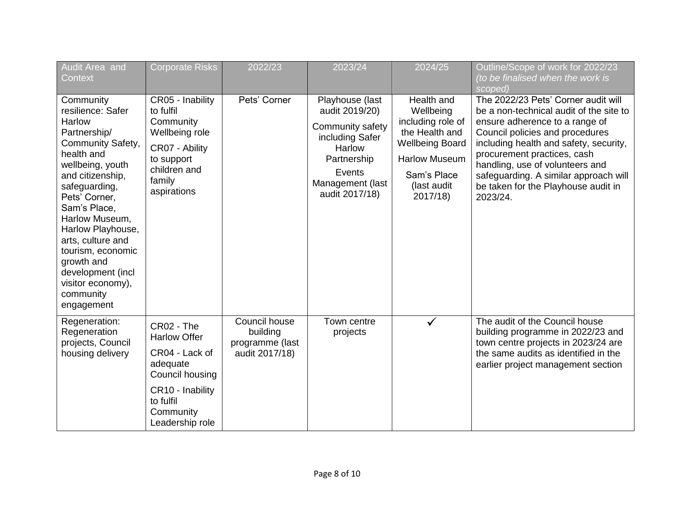| Audit Area and<br>Context                                                                                                                                                                                                                                                                                                                                 | <b>Corporate Risks</b>                                                                                                                              | 2022/23                                                        | 2023/24                                                                                                                                           | 2024/25                                                                                                                                                    | Outline/Scope of work for 2022/23<br>(to be finalised when the work is<br>scoped)                                                                                                                                                                                                                                                                           |
|-----------------------------------------------------------------------------------------------------------------------------------------------------------------------------------------------------------------------------------------------------------------------------------------------------------------------------------------------------------|-----------------------------------------------------------------------------------------------------------------------------------------------------|----------------------------------------------------------------|---------------------------------------------------------------------------------------------------------------------------------------------------|------------------------------------------------------------------------------------------------------------------------------------------------------------|-------------------------------------------------------------------------------------------------------------------------------------------------------------------------------------------------------------------------------------------------------------------------------------------------------------------------------------------------------------|
| Community<br>resilience: Safer<br>Harlow<br>Partnership/<br>Community Safety,<br>health and<br>wellbeing, youth<br>and citizenship,<br>safeguarding,<br>Pets' Corner,<br>Sam's Place,<br>Harlow Museum,<br>Harlow Playhouse,<br>arts, culture and<br>tourism, economic<br>growth and<br>development (incl<br>visitor economy),<br>community<br>engagement | CR05 - Inability<br>to fulfil<br>Community<br>Wellbeing role<br>CR07 - Ability<br>to support<br>children and<br>family<br>aspirations               | Pets' Corner                                                   | Playhouse (last<br>audit 2019/20)<br>Community safety<br>including Safer<br>Harlow<br>Partnership<br>Events<br>Management (last<br>audit 2017/18) | Health and<br>Wellbeing<br>including role of<br>the Health and<br><b>Wellbeing Board</b><br><b>Harlow Museum</b><br>Sam's Place<br>(last audit<br>2017/18) | The 2022/23 Pets' Corner audit will<br>be a non-technical audit of the site to<br>ensure adherence to a range of<br>Council policies and procedures<br>including health and safety, security,<br>procurement practices, cash<br>handling, use of volunteers and<br>safeguarding. A similar approach will<br>be taken for the Playhouse audit in<br>2023/24. |
| Regeneration:<br>Regeneration<br>projects, Council<br>housing delivery                                                                                                                                                                                                                                                                                    | CR02 - The<br><b>Harlow Offer</b><br>CR04 - Lack of<br>adequate<br>Council housing<br>CR10 - Inability<br>to fulfil<br>Community<br>Leadership role | Council house<br>building<br>programme (last<br>audit 2017/18) | Town centre<br>projects                                                                                                                           | $\checkmark$                                                                                                                                               | The audit of the Council house<br>building programme in 2022/23 and<br>town centre projects in 2023/24 are<br>the same audits as identified in the<br>earlier project management section                                                                                                                                                                    |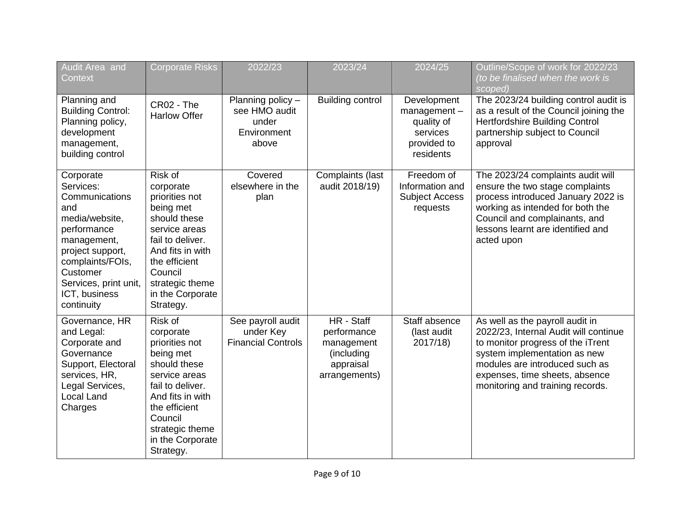| Audit Area and<br>Context                                                                                                                                                                                   | <b>Corporate Risks</b>                                                                                                                                                                                       | 2022/23                                                             | 2023/24                                                                             | 2024/25                                                                                | Outline/Scope of work for 2022/23<br>(to be finalised when the work is<br>scoped)                                                                                                                                                                     |
|-------------------------------------------------------------------------------------------------------------------------------------------------------------------------------------------------------------|--------------------------------------------------------------------------------------------------------------------------------------------------------------------------------------------------------------|---------------------------------------------------------------------|-------------------------------------------------------------------------------------|----------------------------------------------------------------------------------------|-------------------------------------------------------------------------------------------------------------------------------------------------------------------------------------------------------------------------------------------------------|
| Planning and<br><b>Building Control:</b><br>Planning policy,<br>development<br>management,<br>building control                                                                                              | CR02 - The<br><b>Harlow Offer</b>                                                                                                                                                                            | Planning policy -<br>see HMO audit<br>under<br>Environment<br>above | <b>Building control</b>                                                             | Development<br>$m$ anagement $-$<br>quality of<br>services<br>provided to<br>residents | The 2023/24 building control audit is<br>as a result of the Council joining the<br>Hertfordshire Building Control<br>partnership subject to Council<br>approval                                                                                       |
| Corporate<br>Services:<br>Communications<br>and<br>media/website,<br>performance<br>management,<br>project support,<br>complaints/FOIs,<br>Customer<br>Services, print unit,<br>ICT, business<br>continuity | Risk of<br>corporate<br>priorities not<br>being met<br>should these<br>service areas<br>fail to deliver.<br>And fits in with<br>the efficient<br>Council<br>strategic theme<br>in the Corporate<br>Strategy. | Covered<br>elsewhere in the<br>plan                                 | Complaints (last<br>audit 2018/19)                                                  | Freedom of<br>Information and<br><b>Subject Access</b><br>requests                     | The 2023/24 complaints audit will<br>ensure the two stage complaints<br>process introduced January 2022 is<br>working as intended for both the<br>Council and complainants, and<br>lessons learnt are identified and<br>acted upon                    |
| Governance, HR<br>and Legal:<br>Corporate and<br>Governance<br>Support, Electoral<br>services, HR,<br>Legal Services,<br><b>Local Land</b><br>Charges                                                       | Risk of<br>corporate<br>priorities not<br>being met<br>should these<br>service areas<br>fail to deliver.<br>And fits in with<br>the efficient<br>Council<br>strategic theme<br>in the Corporate<br>Strategy. | See payroll audit<br>under Key<br><b>Financial Controls</b>         | HR - Staff<br>performance<br>management<br>(including<br>appraisal<br>arrangements) | Staff absence<br>(last audit<br>2017/18)                                               | As well as the payroll audit in<br>2022/23, Internal Audit will continue<br>to monitor progress of the iTrent<br>system implementation as new<br>modules are introduced such as<br>expenses, time sheets, absence<br>monitoring and training records. |